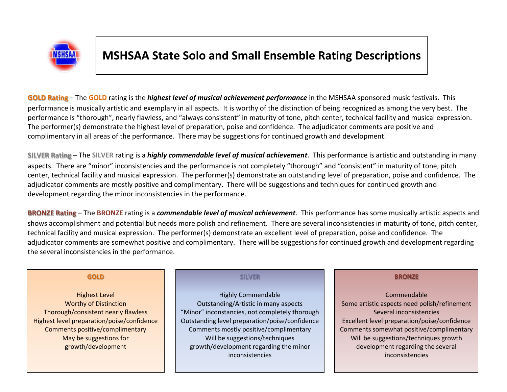

# **MSHSAA State Solo and Small Ensemble Rating Descriptions**

**GOLD Rating** – The **GOLD** rating is the *highest level of musical achievement performance* in the MSHSAA sponsored music festivals. This performance is musically artistic and exemplary in all aspects. It is worthy of the distinction of being recognized as among the very best. The performance is "thorough", nearly flawless, and "always consistent" in maturity of tone, pitch center, technical facility and musical expression. The performer(s) demonstrate the highest level of preparation, poise and confidence. The adjudicator comments are positive and complimentary in all areas of the performance. There may be suggestions for continued growth and development.

**SILVER Rating** – The **SILVER** rating is a *highly commendable level of musical achievement*. This performance is artistic and outstanding in many aspects. There are "minor" inconsistencies and the performance is not completely "thorough" and "consistent" in maturity of tone, pitch center, technical facility and musical expression. The performer(s) demonstrate an outstanding level of preparation, poise and confidence. The adjudicator comments are mostly positive and complimentary. There will be suggestions and techniques for continued growth and development regarding the minor inconsistencies in the performance.

**BRONZE Rating** – The **BRONZE** rating is a *commendable level of musical achievement*. This performance has some musically artistic aspects and shows accomplishment and potential but needs more polish and refinement. There are several inconsistencies in maturity of tone, pitch center, technical facility and musical expression. The performer(s) demonstrate an excellent level of preparation, poise and confidence. The adjudicator comments are somewhat positive and complimentary. There will be suggestions for continued growth and development regarding the several inconsistencies in the performance.

### **GOLD**

Highest Level Worthy of Distinction Thorough/consistent nearly flawless Highest level preparation/poise/confidence Comments positive/complimentary May be suggestions for growth/development

### **SILVER**

Highly Commendable Outstanding/Artistic in many aspects "Minor" inconstancies, not completely thorough Outstanding level preparation/poise/confidence Comments mostly positive/complimentary Will be suggestions/techniques growth/development regarding the minor inconsistencies

### **BRONZE**

Commendable Some artistic aspects need polish/refinement Several inconsistencies Excellent level preparation/poise/confidence Comments somewhat positive/complimentary Will be suggestions/techniques growth development regarding the several inconsistencies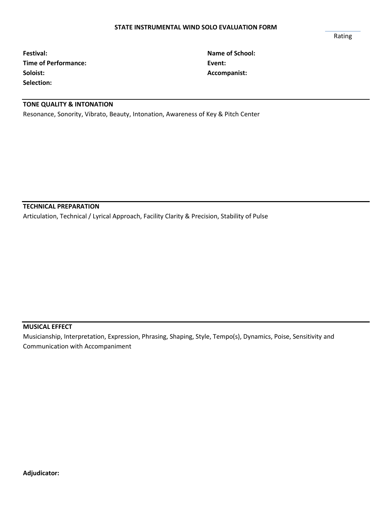**Festival: Name of School: Time of Performance: Event: Soloist: Accompanist: Selection:**

# **TONE QUALITY & INTONATION**

Resonance, Sonority, Vibrato, Beauty, Intonation, Awareness of Key & Pitch Center

**TECHNICAL PREPARATION**

Articulation, Technical / Lyrical Approach, Facility Clarity & Precision, Stability of Pulse

### **MUSICAL EFFECT**

Musicianship, Interpretation, Expression, Phrasing, Shaping, Style, Tempo(s), Dynamics, Poise, Sensitivity and Communication with Accompaniment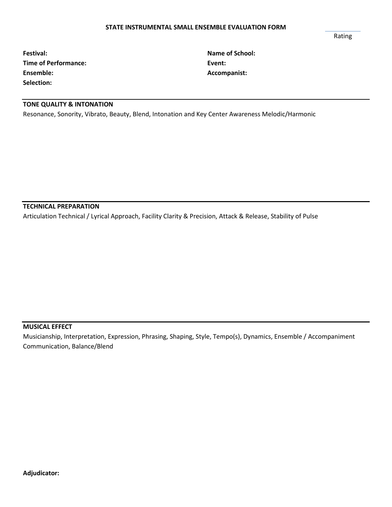#### **STATE INSTRUMENTAL SMALL ENSEMBLE EVALUATION FORM**

Rating

**Festival: Name of School: Time of Performance: Event: Ensemble: Accompanist: Accompanist: Selection:**

# **TONE QUALITY & INTONATION**

Resonance, Sonority, Vibrato, Beauty, Blend, Intonation and Key Center Awareness Melodic/Harmonic

**TECHNICAL PREPARATION**

Articulation Technical / Lyrical Approach, Facility Clarity & Precision, Attack & Release, Stability of Pulse

# **MUSICAL EFFECT**

Musicianship, Interpretation, Expression, Phrasing, Shaping, Style, Tempo(s), Dynamics, Ensemble / Accompaniment Communication, Balance/Blend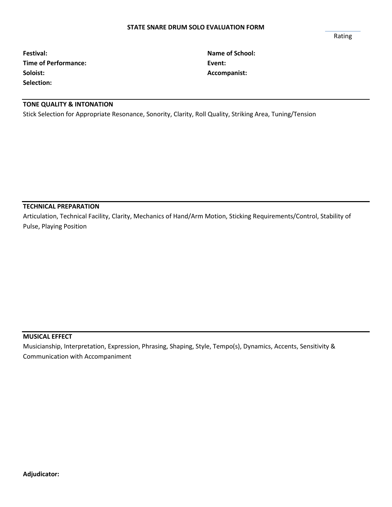#### **STATE SNARE DRUM SOLO EVALUATION FORM**

**Festival: Name of School: Time of Performance: Event: Soloist: Accompanist: Selection:**

# **TONE QUALITY & INTONATION**

Stick Selection for Appropriate Resonance, Sonority, Clarity, Roll Quality, Striking Area, Tuning/Tension

### **TECHNICAL PREPARATION**

Articulation, Technical Facility, Clarity, Mechanics of Hand/Arm Motion, Sticking Requirements/Control, Stability of Pulse, Playing Position

### **MUSICAL EFFECT**

Musicianship, Interpretation, Expression, Phrasing, Shaping, Style, Tempo(s), Dynamics, Accents, Sensitivity & Communication with Accompaniment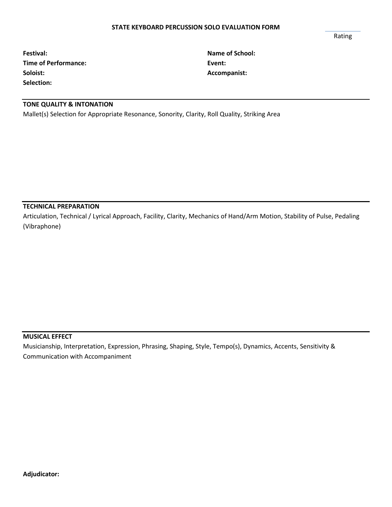#### **STATE KEYBOARD PERCUSSION SOLO EVALUATION FORM**

| Festival:                   | <b>Name</b> |
|-----------------------------|-------------|
| <b>Time of Performance:</b> | Event:      |
| Soloist:                    | Accom       |
| Selection:                  |             |

**Festival: Name of School: Soloist: Accompanist:**

# **TONE QUALITY & INTONATION**

Mallet(s) Selection for Appropriate Resonance, Sonority, Clarity, Roll Quality, Striking Area

### **TECHNICAL PREPARATION**

Articulation, Technical / Lyrical Approach, Facility, Clarity, Mechanics of Hand/Arm Motion, Stability of Pulse, Pedaling (Vibraphone)

### **MUSICAL EFFECT**

Musicianship, Interpretation, Expression, Phrasing, Shaping, Style, Tempo(s), Dynamics, Accents, Sensitivity & Communication with Accompaniment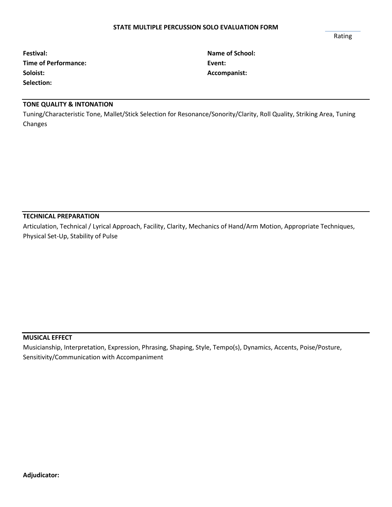#### **STATE MULTIPLE PERCUSSION SOLO EVALUATION FORM**

Rating

| Festival:                   | <b>Name</b> |
|-----------------------------|-------------|
| <b>Time of Performance:</b> | Event:      |
| Soloist:                    | Accom       |
| Selection:                  |             |

**Festival: Name of School: Soloist: Accompanist:**

# **TONE QUALITY & INTONATION**

Tuning/Characteristic Tone, Mallet/Stick Selection for Resonance/Sonority/Clarity, Roll Quality, Striking Area, Tuning Changes

# **TECHNICAL PREPARATION**

Articulation, Technical / Lyrical Approach, Facility, Clarity, Mechanics of Hand/Arm Motion, Appropriate Techniques, Physical Set-Up, Stability of Pulse

### **MUSICAL EFFECT**

Musicianship, Interpretation, Expression, Phrasing, Shaping, Style, Tempo(s), Dynamics, Accents, Poise/Posture, Sensitivity/Communication with Accompaniment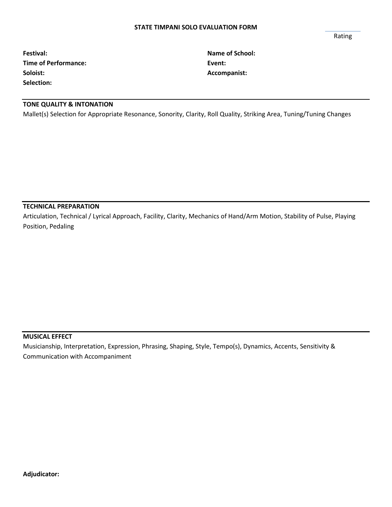#### **STATE TIMPANI SOLO EVALUATION FORM**

Rating

| Festival:                   | <b>Name</b> |
|-----------------------------|-------------|
| <b>Time of Performance:</b> | Event:      |
| Soloist:                    | Accom       |
| Selection:                  |             |

**Festival: Name of School: Soloist: Accompanist:**

# **TONE QUALITY & INTONATION**

Mallet(s) Selection for Appropriate Resonance, Sonority, Clarity, Roll Quality, Striking Area, Tuning/Tuning Changes

### **TECHNICAL PREPARATION**

Articulation, Technical / Lyrical Approach, Facility, Clarity, Mechanics of Hand/Arm Motion, Stability of Pulse, Playing Position, Pedaling

### **MUSICAL EFFECT**

Musicianship, Interpretation, Expression, Phrasing, Shaping, Style, Tempo(s), Dynamics, Accents, Sensitivity & Communication with Accompaniment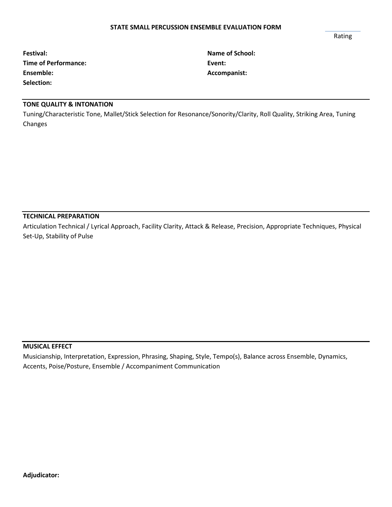#### **STATE SMALL PERCUSSION ENSEMBLE EVALUATION FORM**

Rating

| Festival:                   | <b>Name</b> |
|-----------------------------|-------------|
| <b>Time of Performance:</b> | Event:      |
| Ensemble:                   | Accom       |
| Selection:                  |             |

**Festival: Name of School: Ensemble: Accompanist:**

# **TONE QUALITY & INTONATION**

Tuning/Characteristic Tone, Mallet/Stick Selection for Resonance/Sonority/Clarity, Roll Quality, Striking Area, Tuning Changes

# **TECHNICAL PREPARATION**

Articulation Technical / Lyrical Approach, Facility Clarity, Attack & Release, Precision, Appropriate Techniques, Physical Set-Up, Stability of Pulse

### **MUSICAL EFFECT**

Musicianship, Interpretation, Expression, Phrasing, Shaping, Style, Tempo(s), Balance across Ensemble, Dynamics, Accents, Poise/Posture, Ensemble / Accompaniment Communication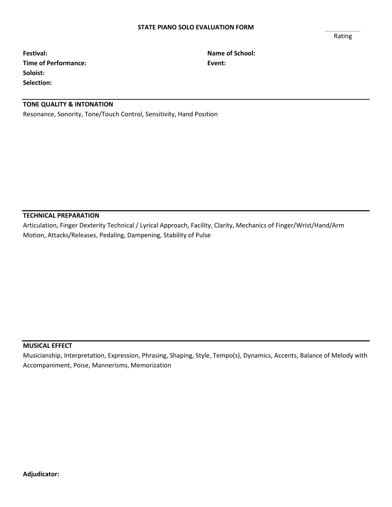#### **STATE PIANO SOLO EVALUATION FORM**

Rating

**Festival: Name of School: Time of Performance: Event: Soloist: Selection:**

# **TONE QUALITY & INTONATION**

Resonance, Sonority, Tone/Touch Control, Sensitivity, Hand Position

**TECHNICAL PREPARATION**

Articulation, Finger Dexterity Technical / Lyrical Approach, Facility, Clarity, Mechanics of Finger/Wrist/Hand/Arm Motion, Attacks/Releases, Pedaling, Dampening, Stability of Pulse

### **MUSICAL EFFECT**

Musicianship, Interpretation, Expression, Phrasing, Shaping, Style, Tempo(s), Dynamics, Accents, Balance of Melody with Accompaniment, Poise, Mannerisms, Memorization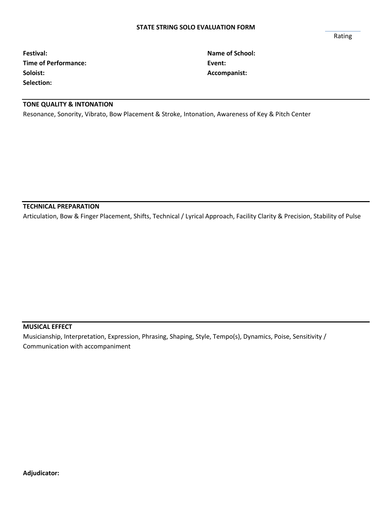**Festival: Name of School: Time of Performance: Event: Soloist: Accompanist: Selection:**

# **TONE QUALITY & INTONATION**

Resonance, Sonority, Vibrato, Bow Placement & Stroke, Intonation, Awareness of Key & Pitch Center

### **TECHNICAL PREPARATION**

Articulation, Bow & Finger Placement, Shifts, Technical / Lyrical Approach, Facility Clarity & Precision, Stability of Pulse

# **MUSICAL EFFECT**

Musicianship, Interpretation, Expression, Phrasing, Shaping, Style, Tempo(s), Dynamics, Poise, Sensitivity / Communication with accompaniment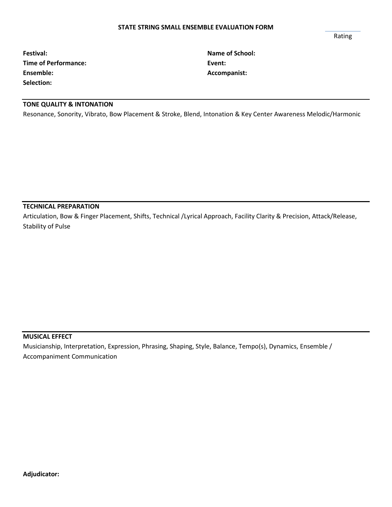#### **STATE STRING SMALL ENSEMBLE EVALUATION FORM**

Rating

| Festival:                   | <b>Name</b> |
|-----------------------------|-------------|
| <b>Time of Performance:</b> | Event:      |
| Ensemble:                   | Accom       |
| Selection:                  |             |

**Festival: Name of School: Ensemble: Accompanist:**

# **TONE QUALITY & INTONATION**

Resonance, Sonority, Vibrato, Bow Placement & Stroke, Blend, Intonation & Key Center Awareness Melodic/Harmonic

### **TECHNICAL PREPARATION**

Articulation, Bow & Finger Placement, Shifts, Technical /Lyrical Approach, Facility Clarity & Precision, Attack/Release, Stability of Pulse

### **MUSICAL EFFECT**

Musicianship, Interpretation, Expression, Phrasing, Shaping, Style, Balance, Tempo(s), Dynamics, Ensemble / Accompaniment Communication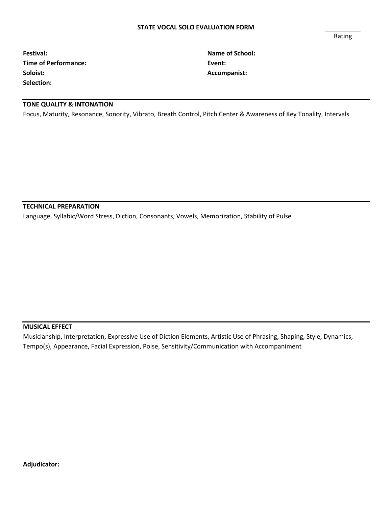#### **STATE VOCAL SOLO EVALUATION FORM**

Rating

**Festival: Name of School: Time of Performance: Event: Event: Soloist: Accompanist: Selection:**

# **TONE QUALITY & INTONATION**

Focus, Maturity, Resonance, Sonority, Vibrato, Breath Control, Pitch Center & Awareness of Key Tonality, Intervals

### **TECHNICAL PREPARATION**

Language, Syllabic/Word Stress, Diction, Consonants, Vowels, Memorization, Stability of Pulse

### **MUSICAL EFFECT**

Musicianship, Interpretation, Expressive Use of Diction Elements, Artistic Use of Phrasing, Shaping, Style, Dynamics, Tempo(s), Appearance, Facial Expression, Poise, Sensitivity/Communication with Accompaniment